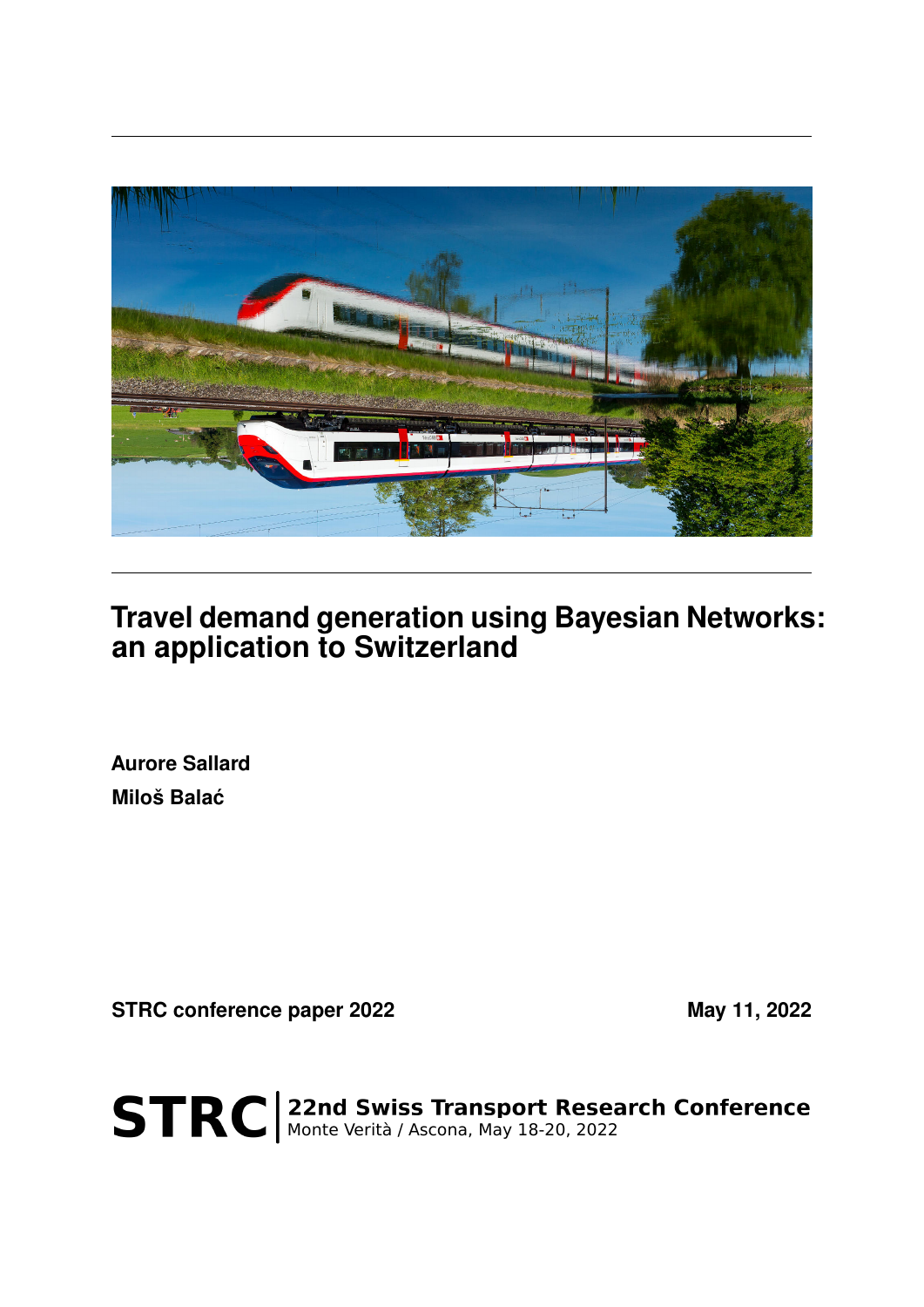

## **Travel demand generation using Bayesian Networks: an application to Switzerland**

**Aurore Sallard Miloš Balac´**

**STRC conference paper 2022** May 11, 2022

STRC | 22nd Swiss Transport Research Conference